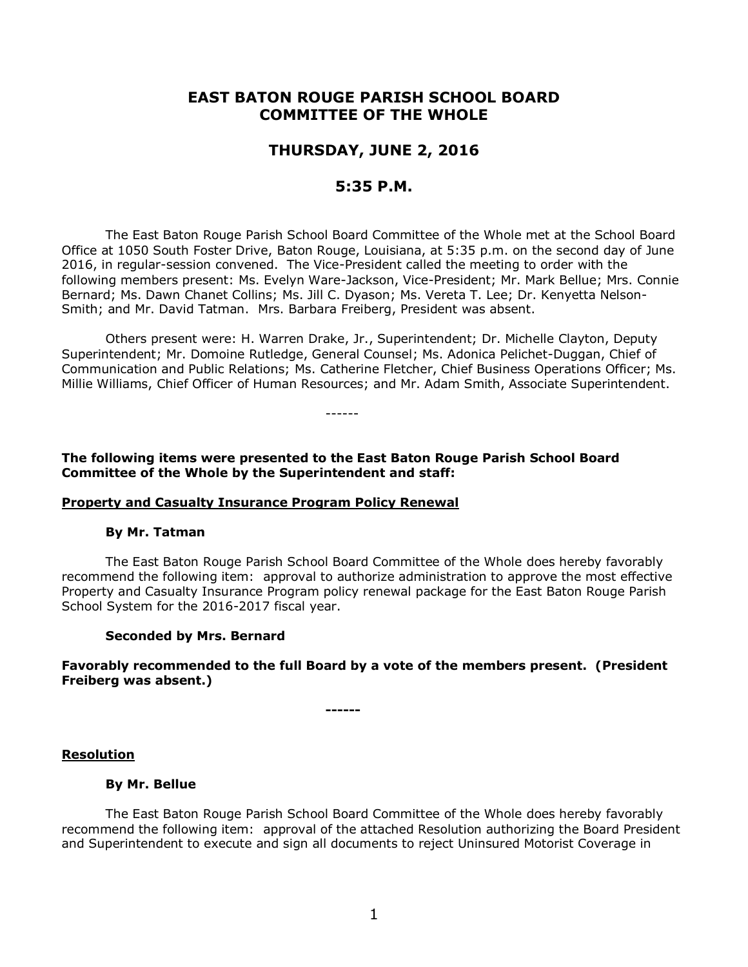# **EAST BATON ROUGE PARISH SCHOOL BOARD COMMITTEE OF THE WHOLE**

# **THURSDAY, JUNE 2, 2016**

# **5:35 P.M.**

The East Baton Rouge Parish School Board Committee of the Whole met at the School Board Office at 1050 South Foster Drive, Baton Rouge, Louisiana, at 5:35 p.m. on the second day of June 2016, in regular-session convened. The Vice-President called the meeting to order with the following members present: Ms. Evelyn Ware-Jackson, Vice-President; Mr. Mark Bellue; Mrs. Connie Bernard; Ms. Dawn Chanet Collins; Ms. Jill C. Dyason; Ms. Vereta T. Lee; Dr. Kenyetta Nelson-Smith; and Mr. David Tatman. Mrs. Barbara Freiberg, President was absent.

Others present were: H. Warren Drake, Jr., Superintendent; Dr. Michelle Clayton, Deputy Superintendent; Mr. Domoine Rutledge, General Counsel; Ms. Adonica Pelichet-Duggan, Chief of Communication and Public Relations; Ms. Catherine Fletcher, Chief Business Operations Officer; Ms. Millie Williams, Chief Officer of Human Resources; and Mr. Adam Smith, Associate Superintendent.

**The following items were presented to the East Baton Rouge Parish School Board Committee of the Whole by the Superintendent and staff:**

------

#### **Property and Casualty Insurance Program Policy Renewal**

#### **By Mr. Tatman**

The East Baton Rouge Parish School Board Committee of the Whole does hereby favorably recommend the following item: approval to authorize administration to approve the most effective Property and Casualty Insurance Program policy renewal package for the East Baton Rouge Parish School System for the 2016-2017 fiscal year.

#### **Seconded by Mrs. Bernard**

## **Favorably recommended to the full Board by a vote of the members present. (President Freiberg was absent.)**

**------**

#### **Resolution**

#### **By Mr. Bellue**

The East Baton Rouge Parish School Board Committee of the Whole does hereby favorably recommend the following item: approval of the attached Resolution authorizing the Board President and Superintendent to execute and sign all documents to reject Uninsured Motorist Coverage in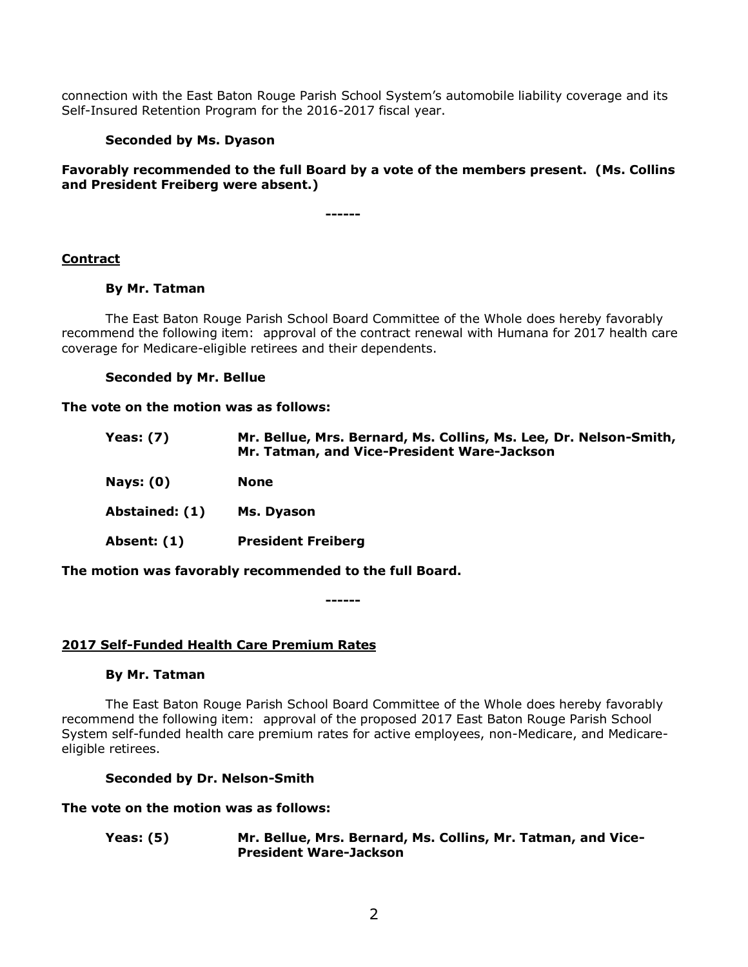connection with the East Baton Rouge Parish School System's automobile liability coverage and its Self-Insured Retention Program for the 2016-2017 fiscal year.

## **Seconded by Ms. Dyason**

# **Favorably recommended to the full Board by a vote of the members present. (Ms. Collins and President Freiberg were absent.)**

**------**

# **Contract**

#### **By Mr. Tatman**

The East Baton Rouge Parish School Board Committee of the Whole does hereby favorably recommend the following item: approval of the contract renewal with Humana for 2017 health care coverage for Medicare-eligible retirees and their dependents.

#### **Seconded by Mr. Bellue**

#### **The vote on the motion was as follows:**

| <b>Yeas: (7)</b> | Mr. Bellue, Mrs. Bernard, Ms. Collins, Ms. Lee, Dr. Nelson-Smith,<br>Mr. Tatman, and Vice-President Ware-Jackson |  |  |  |  |
|------------------|------------------------------------------------------------------------------------------------------------------|--|--|--|--|
| <b>Nays: (0)</b> | <b>None</b>                                                                                                      |  |  |  |  |
| Abstained: (1)   | Ms. Dyason                                                                                                       |  |  |  |  |
| Absent: (1)      | <b>President Freiberg</b>                                                                                        |  |  |  |  |
|                  |                                                                                                                  |  |  |  |  |

**The motion was favorably recommended to the full Board.**

**------**

#### **2017 Self-Funded Health Care Premium Rates**

#### **By Mr. Tatman**

The East Baton Rouge Parish School Board Committee of the Whole does hereby favorably recommend the following item: approval of the proposed 2017 East Baton Rouge Parish School System self-funded health care premium rates for active employees, non-Medicare, and Medicareeligible retirees.

#### **Seconded by Dr. Nelson-Smith**

#### **The vote on the motion was as follows:**

**Yeas: (5) Mr. Bellue, Mrs. Bernard, Ms. Collins, Mr. Tatman, and Vice-President Ware-Jackson**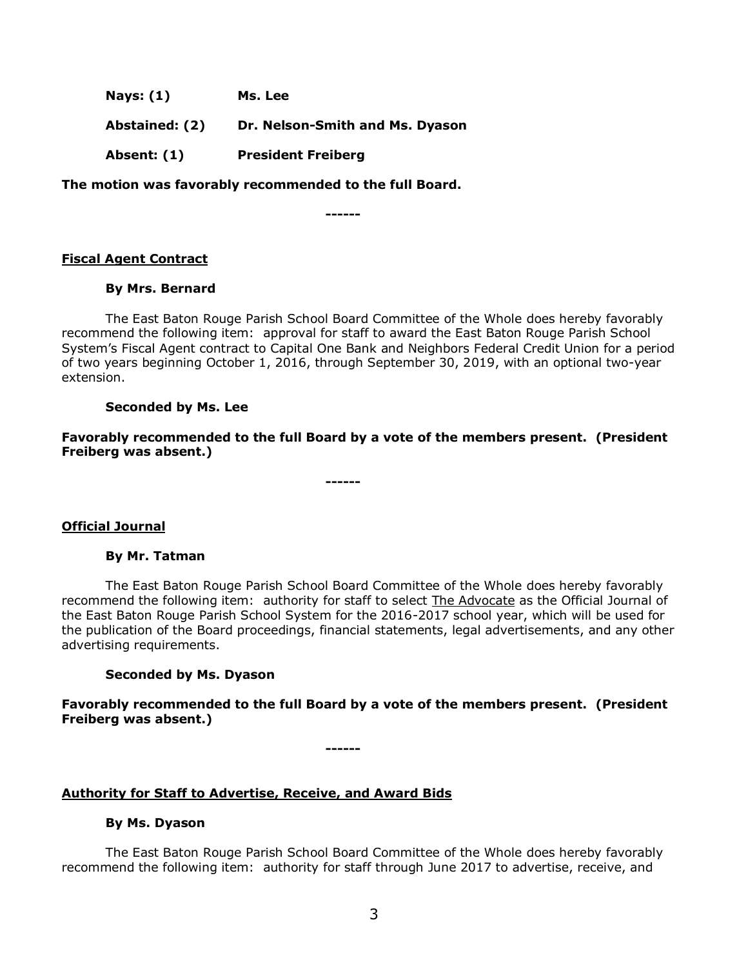**Nays: (1) Ms. Lee**

**Abstained: (2) Dr. Nelson-Smith and Ms. Dyason**

**Absent: (1) President Freiberg**

**The motion was favorably recommended to the full Board.**

**------**

# **Fiscal Agent Contract**

#### **By Mrs. Bernard**

The East Baton Rouge Parish School Board Committee of the Whole does hereby favorably recommend the following item: approval for staff to award the East Baton Rouge Parish School System's Fiscal Agent contract to Capital One Bank and Neighbors Federal Credit Union for a period of two years beginning October 1, 2016, through September 30, 2019, with an optional two-year extension.

#### **Seconded by Ms. Lee**

**Favorably recommended to the full Board by a vote of the members present. (President Freiberg was absent.)** 

**------**

# **Official Journal**

#### **By Mr. Tatman**

The East Baton Rouge Parish School Board Committee of the Whole does hereby favorably recommend the following item: authority for staff to select The Advocate as the Official Journal of the East Baton Rouge Parish School System for the 2016-2017 school year, which will be used for the publication of the Board proceedings, financial statements, legal advertisements, and any other advertising requirements.

#### **Seconded by Ms. Dyason**

**Favorably recommended to the full Board by a vote of the members present. (President Freiberg was absent.)**

**------**

# **Authority for Staff to Advertise, Receive, and Award Bids**

# **By Ms. Dyason**

The East Baton Rouge Parish School Board Committee of the Whole does hereby favorably recommend the following item: authority for staff through June 2017 to advertise, receive, and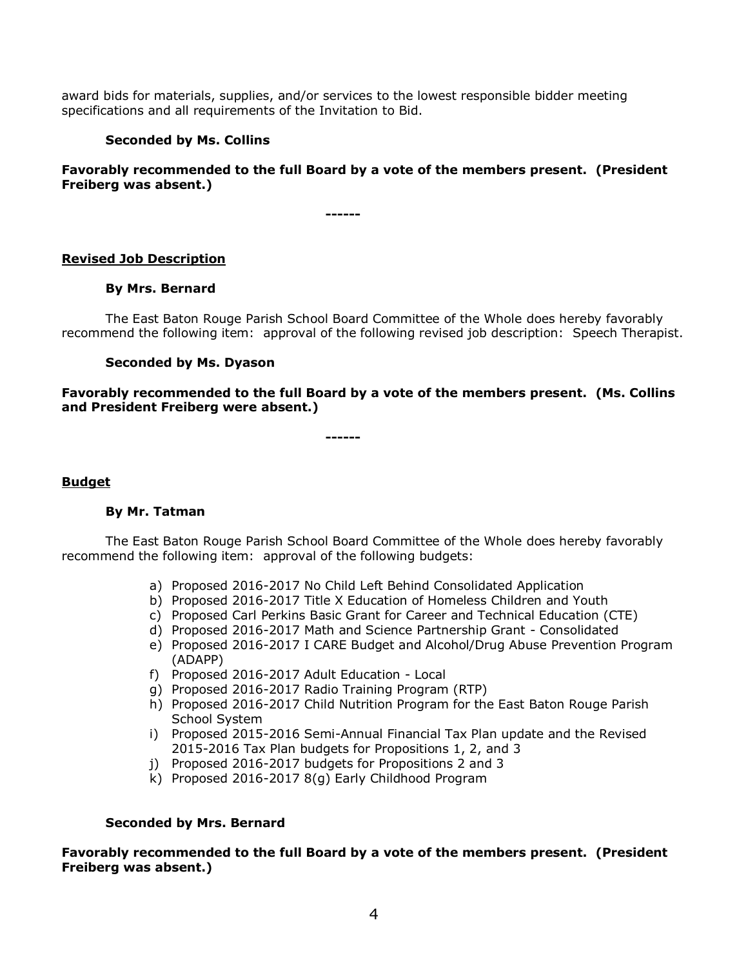award bids for materials, supplies, and/or services to the lowest responsible bidder meeting specifications and all requirements of the Invitation to Bid.

# **Seconded by Ms. Collins**

**Favorably recommended to the full Board by a vote of the members present. (President Freiberg was absent.)**

**------**

# **Revised Job Description**

#### **By Mrs. Bernard**

The East Baton Rouge Parish School Board Committee of the Whole does hereby favorably recommend the following item: approval of the following revised job description: Speech Therapist.

# **Seconded by Ms. Dyason**

**Favorably recommended to the full Board by a vote of the members present. (Ms. Collins and President Freiberg were absent.)**

**------**

#### **Budget**

#### **By Mr. Tatman**

The East Baton Rouge Parish School Board Committee of the Whole does hereby favorably recommend the following item: approval of the following budgets:

- a) Proposed 2016-2017 No Child Left Behind Consolidated Application
- b) Proposed 2016-2017 Title X Education of Homeless Children and Youth
- c) Proposed Carl Perkins Basic Grant for Career and Technical Education (CTE)
- d) Proposed 2016-2017 Math and Science Partnership Grant Consolidated
- e) Proposed 2016-2017 I CARE Budget and Alcohol/Drug Abuse Prevention Program (ADAPP)
- f) Proposed 2016-2017 Adult Education Local
- g) Proposed 2016-2017 Radio Training Program (RTP)
- h) Proposed 2016-2017 Child Nutrition Program for the East Baton Rouge Parish School System
- i) Proposed 2015-2016 Semi-Annual Financial Tax Plan update and the Revised 2015-2016 Tax Plan budgets for Propositions 1, 2, and 3
- j) Proposed 2016-2017 budgets for Propositions 2 and 3
- k) Proposed 2016-2017 8(g) Early Childhood Program

#### **Seconded by Mrs. Bernard**

**Favorably recommended to the full Board by a vote of the members present. (President Freiberg was absent.)**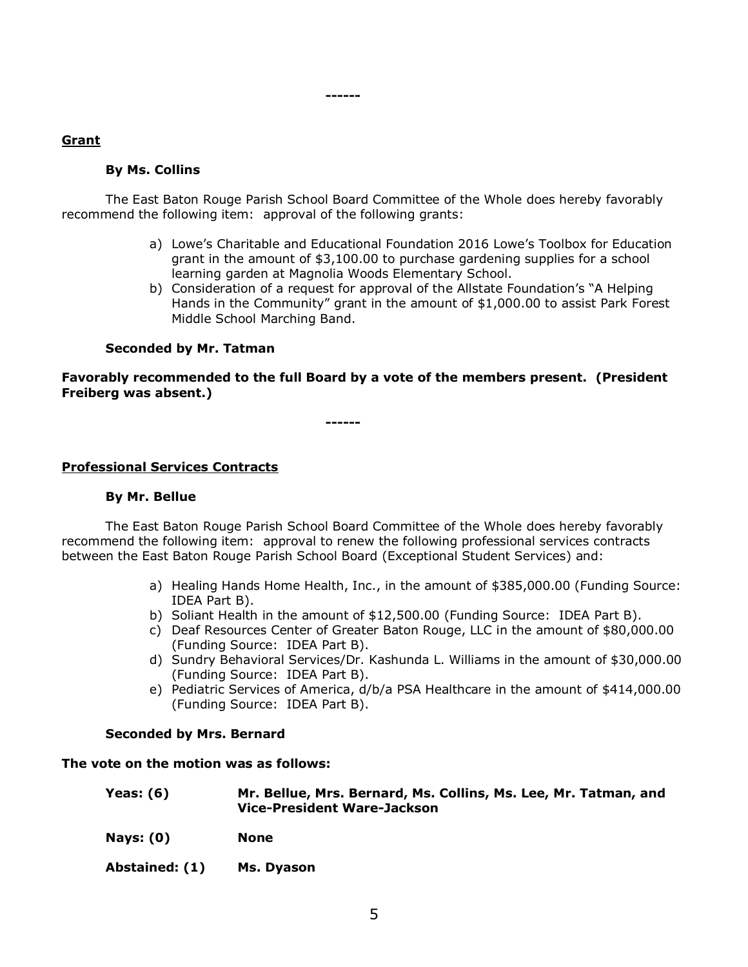# **Grant**

# **By Ms. Collins**

The East Baton Rouge Parish School Board Committee of the Whole does hereby favorably recommend the following item: approval of the following grants:

**------**

- a) Lowe's Charitable and Educational Foundation 2016 Lowe's Toolbox for Education grant in the amount of \$3,100.00 to purchase gardening supplies for a school learning garden at Magnolia Woods Elementary School.
- b) Consideration of a request for approval of the Allstate Foundation's "A Helping Hands in the Community" grant in the amount of \$1,000.00 to assist Park Forest Middle School Marching Band.

# **Seconded by Mr. Tatman**

# **Favorably recommended to the full Board by a vote of the members present. (President Freiberg was absent.)**

**------**

# **Professional Services Contracts**

#### **By Mr. Bellue**

The East Baton Rouge Parish School Board Committee of the Whole does hereby favorably recommend the following item: approval to renew the following professional services contracts between the East Baton Rouge Parish School Board (Exceptional Student Services) and:

- a) Healing Hands Home Health, Inc., in the amount of \$385,000.00 (Funding Source: IDEA Part B).
- b) Soliant Health in the amount of \$12,500.00 (Funding Source: IDEA Part B).
- c) Deaf Resources Center of Greater Baton Rouge, LLC in the amount of \$80,000.00 (Funding Source: IDEA Part B).
- d) Sundry Behavioral Services/Dr. Kashunda L. Williams in the amount of \$30,000.00 (Funding Source: IDEA Part B).
- e) Pediatric Services of America, d/b/a PSA Healthcare in the amount of \$414,000.00 (Funding Source: IDEA Part B).

#### **Seconded by Mrs. Bernard**

#### **The vote on the motion was as follows:**

| Yeas: (6) | Mr. Bellue, Mrs. Bernard, Ms. Collins, Ms. Lee, Mr. Tatman, and |
|-----------|-----------------------------------------------------------------|
|           | Vice-President Ware-Jackson                                     |

- **Nays: (0) None**
- **Abstained: (1) Ms. Dyason**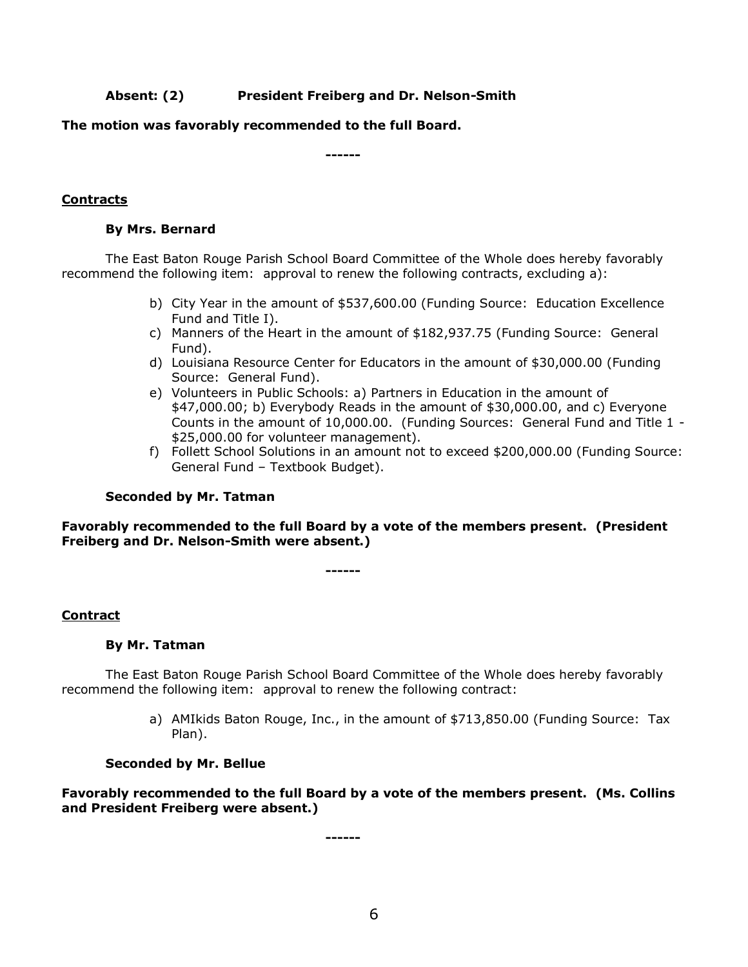# **Absent: (2) President Freiberg and Dr. Nelson-Smith**

## **The motion was favorably recommended to the full Board.**

**------**

# **Contracts**

## **By Mrs. Bernard**

The East Baton Rouge Parish School Board Committee of the Whole does hereby favorably recommend the following item: approval to renew the following contracts, excluding a):

- b) City Year in the amount of \$537,600.00 (Funding Source: Education Excellence Fund and Title I).
- c) Manners of the Heart in the amount of \$182,937.75 (Funding Source: General Fund).
- d) Louisiana Resource Center for Educators in the amount of \$30,000.00 (Funding Source: General Fund).
- e) Volunteers in Public Schools: a) Partners in Education in the amount of \$47,000.00; b) Everybody Reads in the amount of \$30,000.00, and c) Everyone Counts in the amount of 10,000.00. (Funding Sources: General Fund and Title 1 - \$25,000.00 for volunteer management).
- f) Follett School Solutions in an amount not to exceed \$200,000.00 (Funding Source: General Fund – Textbook Budget).

#### **Seconded by Mr. Tatman**

**Favorably recommended to the full Board by a vote of the members present. (President Freiberg and Dr. Nelson-Smith were absent.)**

**------**

#### **Contract**

#### **By Mr. Tatman**

The East Baton Rouge Parish School Board Committee of the Whole does hereby favorably recommend the following item: approval to renew the following contract:

> a) AMIkids Baton Rouge, Inc., in the amount of \$713,850.00 (Funding Source: Tax Plan).

#### **Seconded by Mr. Bellue**

**Favorably recommended to the full Board by a vote of the members present. (Ms. Collins and President Freiberg were absent.)**

**------**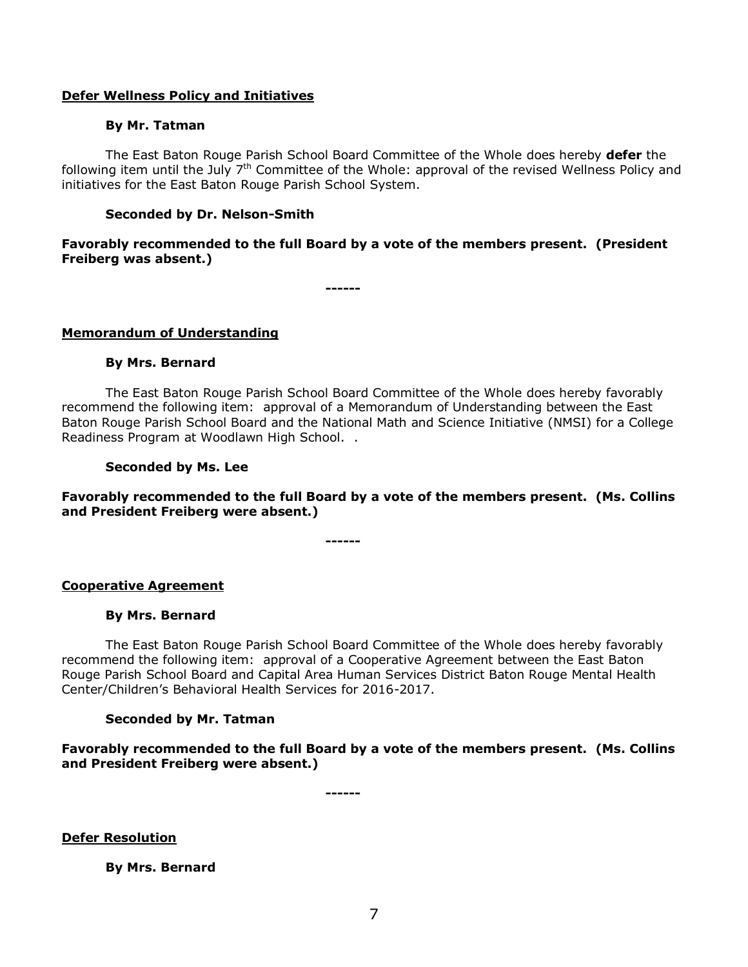#### **Defer Wellness Policy and Initiatives**

#### **By Mr. Tatman**

The East Baton Rouge Parish School Board Committee of the Whole does hereby **defer** the following item until the July  $7<sup>th</sup>$  Committee of the Whole: approval of the revised Wellness Policy and initiatives for the East Baton Rouge Parish School System.

#### **Seconded by Dr. Nelson-Smith**

# **Favorably recommended to the full Board by a vote of the members present. (President Freiberg was absent.)**

**------**

#### **Memorandum of Understanding**

#### **By Mrs. Bernard**

The East Baton Rouge Parish School Board Committee of the Whole does hereby favorably recommend the following item: approval of a Memorandum of Understanding between the East Baton Rouge Parish School Board and the National Math and Science Initiative (NMSI) for a College Readiness Program at Woodlawn High School. .

#### **Seconded by Ms. Lee**

**Favorably recommended to the full Board by a vote of the members present. (Ms. Collins and President Freiberg were absent.)**

**------**

#### **Cooperative Agreement**

#### **By Mrs. Bernard**

The East Baton Rouge Parish School Board Committee of the Whole does hereby favorably recommend the following item: approval of a Cooperative Agreement between the East Baton Rouge Parish School Board and Capital Area Human Services District Baton Rouge Mental Health Center/Children's Behavioral Health Services for 2016-2017.

#### **Seconded by Mr. Tatman**

**Favorably recommended to the full Board by a vote of the members present. (Ms. Collins and President Freiberg were absent.)**

**------**

**Defer Resolution**

**By Mrs. Bernard**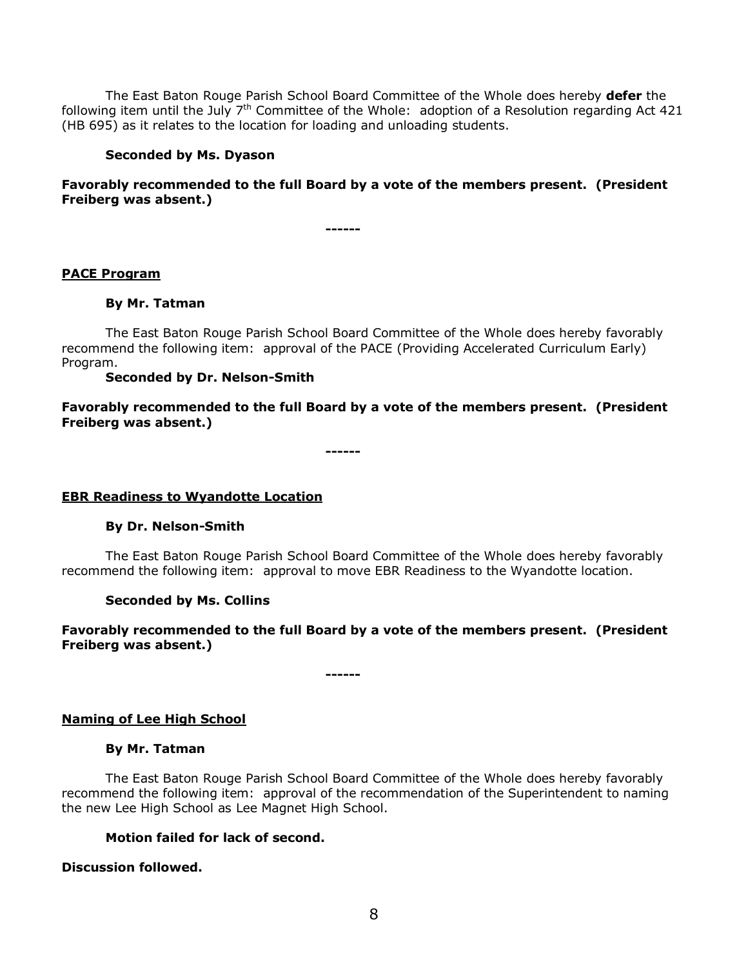The East Baton Rouge Parish School Board Committee of the Whole does hereby **defer** the following item until the July  $7<sup>th</sup>$  Committee of the Whole: adoption of a Resolution regarding Act 421 (HB 695) as it relates to the location for loading and unloading students.

#### **Seconded by Ms. Dyason**

## **Favorably recommended to the full Board by a vote of the members present. (President Freiberg was absent.)**

**------**

#### **PACE Program**

#### **By Mr. Tatman**

The East Baton Rouge Parish School Board Committee of the Whole does hereby favorably recommend the following item: approval of the PACE (Providing Accelerated Curriculum Early) Program.

#### **Seconded by Dr. Nelson-Smith**

**Favorably recommended to the full Board by a vote of the members present. (President Freiberg was absent.)**

**------**

#### **EBR Readiness to Wyandotte Location**

#### **By Dr. Nelson-Smith**

The East Baton Rouge Parish School Board Committee of the Whole does hereby favorably recommend the following item: approval to move EBR Readiness to the Wyandotte location.

#### **Seconded by Ms. Collins**

#### **Favorably recommended to the full Board by a vote of the members present. (President Freiberg was absent.)**

**------**

#### **Naming of Lee High School**

#### **By Mr. Tatman**

The East Baton Rouge Parish School Board Committee of the Whole does hereby favorably recommend the following item: approval of the recommendation of the Superintendent to naming the new Lee High School as Lee Magnet High School.

#### **Motion failed for lack of second.**

#### **Discussion followed.**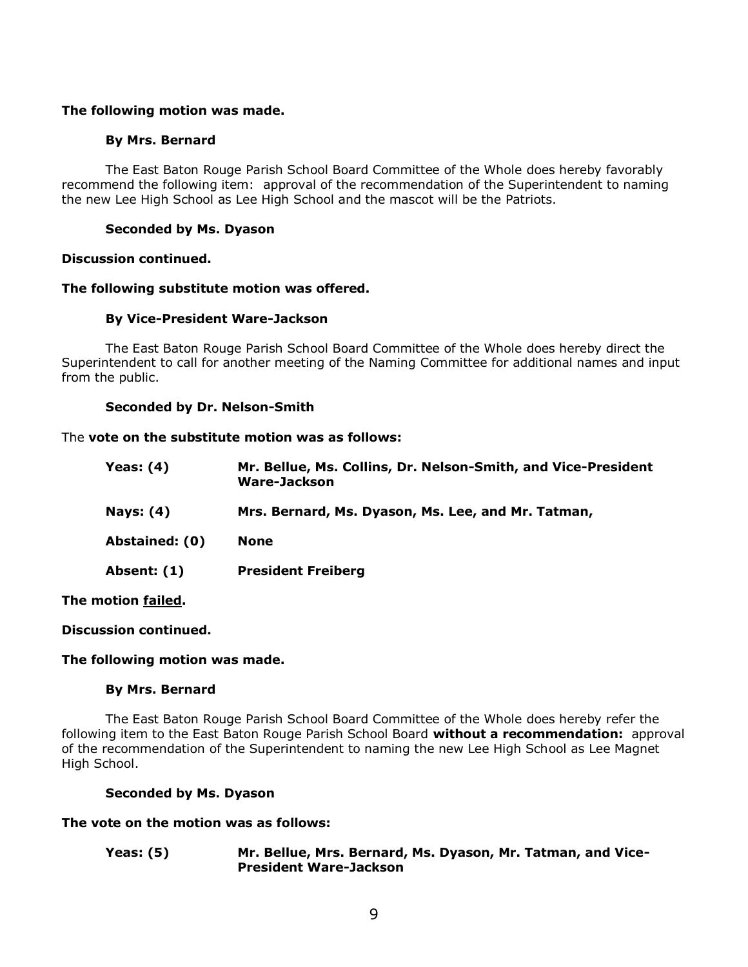## **The following motion was made.**

## **By Mrs. Bernard**

The East Baton Rouge Parish School Board Committee of the Whole does hereby favorably recommend the following item: approval of the recommendation of the Superintendent to naming the new Lee High School as Lee High School and the mascot will be the Patriots.

# **Seconded by Ms. Dyason**

#### **Discussion continued.**

#### **The following substitute motion was offered.**

#### **By Vice-President Ware-Jackson**

The East Baton Rouge Parish School Board Committee of the Whole does hereby direct the Superintendent to call for another meeting of the Naming Committee for additional names and input from the public.

#### **Seconded by Dr. Nelson-Smith**

#### The **vote on the substitute motion was as follows:**

| Yeas: $(4)$      | Mr. Bellue, Ms. Collins, Dr. Nelson-Smith, and Vice-President<br>Ware-Jackson |
|------------------|-------------------------------------------------------------------------------|
| <b>Nays: (4)</b> | Mrs. Bernard, Ms. Dyason, Ms. Lee, and Mr. Tatman,                            |
| Abstained: (0)   | <b>None</b>                                                                   |
| Absent: (1)      | <b>President Freiberg</b>                                                     |

**The motion failed.**

#### **Discussion continued.**

#### **The following motion was made.**

#### **By Mrs. Bernard**

The East Baton Rouge Parish School Board Committee of the Whole does hereby refer the following item to the East Baton Rouge Parish School Board **without a recommendation:** approval of the recommendation of the Superintendent to naming the new Lee High School as Lee Magnet High School.

#### **Seconded by Ms. Dyason**

#### **The vote on the motion was as follows:**

**Yeas: (5) Mr. Bellue, Mrs. Bernard, Ms. Dyason, Mr. Tatman, and Vice-President Ware-Jackson**